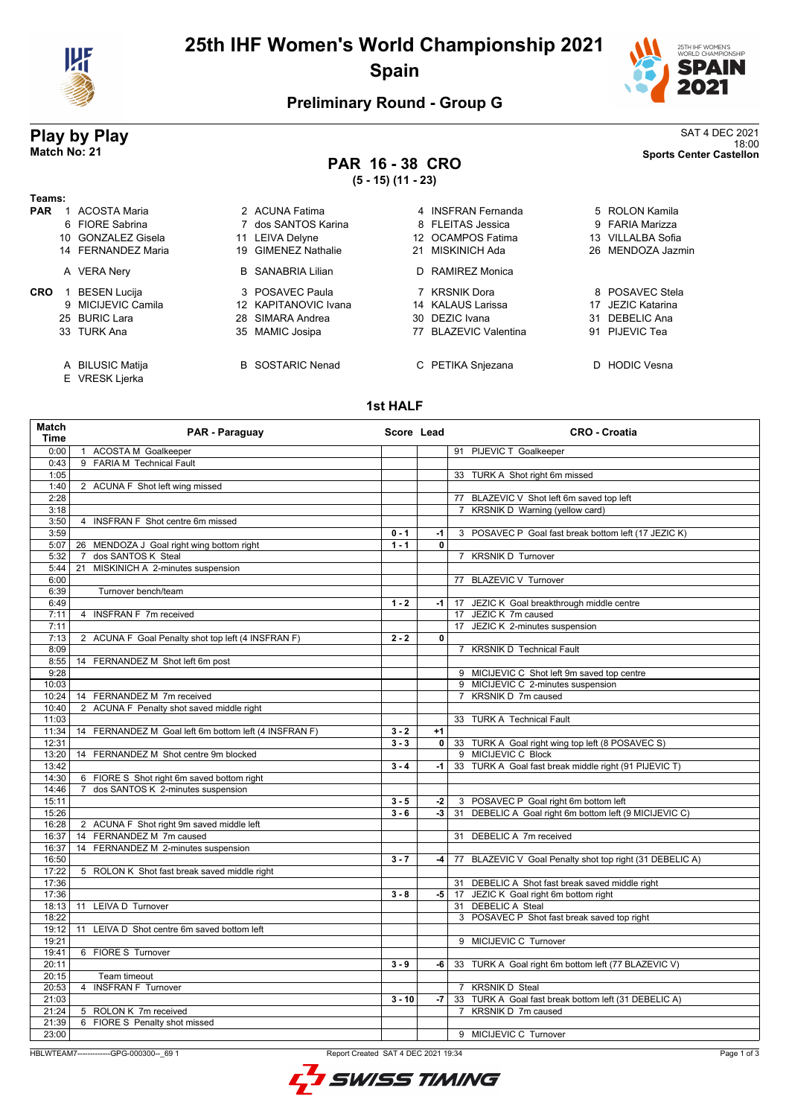

# **25th IHF Women's World Championship 2021 Spain**



## **Preliminary Round - Group G**

# **PAR 16 - 38 CRO**

**(5 - 15) (11 - 23)**

**Play by Play**<br>Match No: 21<br>Shorts Center Castellon 18:00 **Match No: 21 Sports Center Castellon**

### **Teams: PAR** 1 ACOSTA Maria **2 ACUNA Fatima** 4 INSFRAN Fernanda 5 ROLON Kamila 6 FIORE Sabrina 7 dos SANTOS Karina 8 FLEITAS Jessica 9 FARIA Marizza 10 GONZALEZ Gisela 11 LEIVA Delyne 12 OCAMPOS Fatima 13 VILLALBA Sofia 14 FERNANDEZ Maria 19 GIMENEZ Nathalie 21 MISKINICH Ada 26 MENDOZA Jazmin A VERA Nery B SANABRIA Lilian **CRO** 1 BESEN Lucija **3 POSAVEC Paula** 7 KRSNIK Dora **3 POSAVEC Stela**

- 
- 
- 
- E VRESK Ljerka
- 
- 
- 
- 
- A BILUSIC Matija B SOSTARIC Nenad C PETIKA Snjezana D HODIC Vesna

| 1 ACOSTA Maria     | 2 ACUNA Fatima           | 4 INSFRAN Fernanda    | 5 ROLON Kamila    |
|--------------------|--------------------------|-----------------------|-------------------|
| 6 FIORE Sabrina    | 7 dos SANTOS Karina      | 8 FLEITAS Jessica     | 9 FARIA Marizza   |
| 10 GONZALEZ Gisela | 11 LEIVA Delyne          | 12 OCAMPOS Fatima     | 13 VILLALBA Sofia |
| 14 FERNANDEZ Maria | 19 GIMENEZ Nathalie      | 21 MISKINICH Ada      | 26 MENDOZA Jazı   |
| A VERA Nery        | <b>B</b> SANABRIA Lilian | D RAMIREZ Monica      |                   |
| 1 BESEN Lucija     | 3 POSAVEC Paula          | 7 KRSNIK Dora         | 8 POSAVEC Stel    |
| 9 MICIJEVIC Camila | 12 KAPITANOVIC Ivana     | 14 KALAUS Larissa     | 17 JEZIC Katarina |
| 25 BURIC Lara      | 28 SIMARA Andrea         | 30 DEZIC Ivana        | 31 DEBELIC Ana    |
| 33 TURK Ana        | 35 MAMIC Josipa          | 77 BLAZEVIC Valentina | 91 PIJEVIC Tea    |
|                    |                          |                       |                   |

## **1st HALF**

| Match<br><b>Time</b> | PAR - Paraguay                                         | Score Lead |              | <b>CRO - Croatia</b>                                     |  |  |
|----------------------|--------------------------------------------------------|------------|--------------|----------------------------------------------------------|--|--|
| 0:00                 | 1 ACOSTA M Goalkeeper                                  |            |              | 91 PIJEVIC T Goalkeeper                                  |  |  |
| 0:43                 | 9 FARIA M Technical Fault                              |            |              |                                                          |  |  |
| 1:05                 |                                                        |            |              | 33 TURK A Shot right 6m missed                           |  |  |
| 1:40                 | 2 ACUNA F Shot left wing missed                        |            |              |                                                          |  |  |
| 2:28                 |                                                        |            |              | 77 BLAZEVIC V Shot left 6m saved top left                |  |  |
| 3:18                 |                                                        |            |              | 7 KRSNIK D Warning (yellow card)                         |  |  |
| 3:50                 | 4 INSFRAN F Shot centre 6m missed                      |            |              |                                                          |  |  |
| 3:59                 |                                                        | $0 - 1$    | $-1$         | 3 POSAVEC P Goal fast break bottom left (17 JEZIC K)     |  |  |
| 5:07                 | 26 MENDOZA J Goal right wing bottom right              | $1 - 1$    | $\mathbf{0}$ |                                                          |  |  |
| 5:32                 | dos SANTOS K Steal<br>$\overline{7}$                   |            |              | 7 KRSNIK D Turnover                                      |  |  |
| 5:44                 | MISKINICH A 2-minutes suspension<br>21                 |            |              |                                                          |  |  |
| 6:00                 |                                                        |            |              | 77 BLAZEVIC V Turnover                                   |  |  |
| 6:39                 | Turnover bench/team                                    |            |              |                                                          |  |  |
| 6:49                 |                                                        | $1 - 2$    | $-1$         | 17 JEZIC K Goal breakthrough middle centre               |  |  |
| 7:11                 | 4 INSFRAN F 7m received                                |            |              | 17 JEZIC K 7m caused                                     |  |  |
| 7:11                 |                                                        |            |              | 17 JEZIC K 2-minutes suspension                          |  |  |
| 7:13                 | 2 ACUNA F Goal Penalty shot top left (4 INSFRAN F)     | $2 - 2$    | 0            |                                                          |  |  |
| 8:09                 |                                                        |            |              | 7 KRSNIK D Technical Fault                               |  |  |
| 8:55                 | 14 FERNANDEZ M Shot left 6m post                       |            |              |                                                          |  |  |
| 9:28                 |                                                        |            |              | 9 MICIJEVIC C Shot left 9m saved top centre              |  |  |
| 10:03                |                                                        |            |              | 9 MICIJEVIC C 2-minutes suspension                       |  |  |
| 10:24                | 14 FERNANDEZ M 7m received                             |            |              | KRSNIK D 7m caused<br>$7^{\circ}$                        |  |  |
| 10:40                | 2 ACUNA F Penalty shot saved middle right              |            |              |                                                          |  |  |
| 11:03                |                                                        |            |              | 33 TURK A Technical Fault                                |  |  |
| 11:34                | 14 FERNANDEZ M Goal left 6m bottom left (4 INSFRAN F)  | $3 - 2$    | $+1$         |                                                          |  |  |
| 12:31                |                                                        | $3 - 3$    | $\mathbf{0}$ | 33 TURK A Goal right wing top left (8 POSAVEC S)         |  |  |
| 13:20                | 14 FERNANDEZ M Shot centre 9m blocked                  |            |              | 9 MICIJEVIC C Block                                      |  |  |
| 13:42                |                                                        | $3 - 4$    | -1 l         | 33 TURK A Goal fast break middle right (91 PIJEVIC T)    |  |  |
| 14:30                | 6 FIORE S Shot right 6m saved bottom right             |            |              |                                                          |  |  |
| 14:46                | dos SANTOS K 2-minutes suspension<br>$\overline{7}$    |            |              |                                                          |  |  |
| 15:11                |                                                        | $3 - 5$    | -2           | 3 POSAVEC P Goal right 6m bottom left                    |  |  |
| 15:26                |                                                        | $3 - 6$    | -3           | 31 DEBELIC A Goal right 6m bottom left (9 MICIJEVIC C)   |  |  |
| 16:28                | 2 ACUNA F Shot right 9m saved middle left              |            |              |                                                          |  |  |
| 16:37                | 14 FERNANDEZ M 7m caused                               |            |              | 31 DEBELIC A 7m received                                 |  |  |
| 16:37                | 14 FERNANDEZ M 2-minutes suspension                    |            |              |                                                          |  |  |
| 16:50                |                                                        | $3 - 7$    | -4           | 77 BLAZEVIC V Goal Penalty shot top right (31 DEBELIC A) |  |  |
| 17:22                | 5 ROLON K Shot fast break saved middle right           |            |              |                                                          |  |  |
| 17:36                |                                                        |            |              | 31 DEBELIC A Shot fast break saved middle right          |  |  |
| 17:36                |                                                        | $3 - 8$    |              | -5   17 JEZIC K Goal right 6m bottom right               |  |  |
| 18:13                | 11 LEIVA D Turnover                                    |            |              | 31 DEBELIC A Steal                                       |  |  |
| 18:22                |                                                        |            |              | 3 POSAVEC P Shot fast break saved top right              |  |  |
| 19:12                | 11 LEIVA D Shot centre 6m saved bottom left            |            |              |                                                          |  |  |
| 19:21                |                                                        |            |              | 9 MICIJEVIC C Turnover                                   |  |  |
| 19:41                | 6 FIORE S Turnover                                     |            |              |                                                          |  |  |
| 20:11                |                                                        | $3 - 9$    | -6           | 33 TURK A Goal right 6m bottom left (77 BLAZEVIC V)      |  |  |
| 20:15                | Team timeout                                           |            |              |                                                          |  |  |
| 20:53                | 4 INSFRAN F Turnover                                   |            |              | 7 KRSNIK D Steal                                         |  |  |
| 21:03                |                                                        | $3 - 10$   | -7           | 33 TURK A Goal fast break bottom left (31 DEBELIC A)     |  |  |
| 21:24                |                                                        |            |              | KRSNIK D 7m caused<br>$\overline{7}$                     |  |  |
| 21:39                | 5 ROLON K 7m received<br>6 FIORE S Penalty shot missed |            |              |                                                          |  |  |
|                      |                                                        |            |              |                                                          |  |  |
| 23:00                |                                                        |            |              | 9 MICIJEVIC C Turnover                                   |  |  |

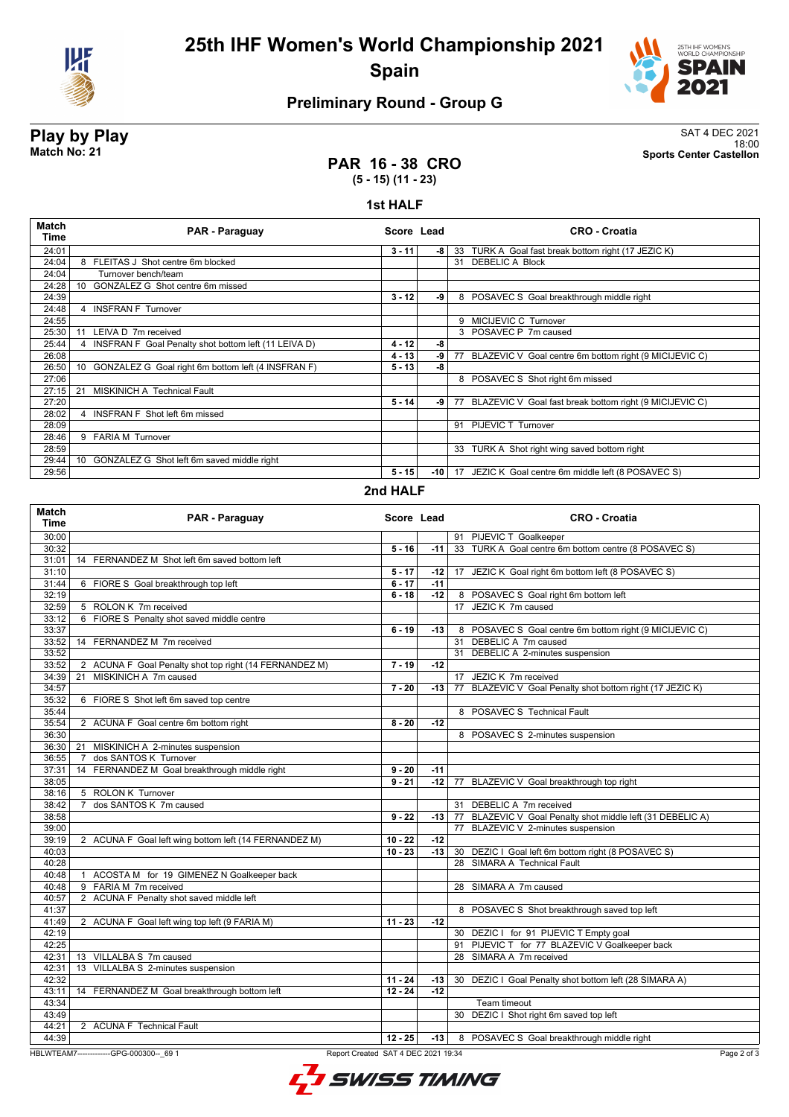

# **25th IHF Women's World Championship 2021 Spain**



## **Preliminary Round - Group G**

**Play by Play**<br>Match No: 21<br>Sports Center Castellon 18:00 **Match No: 21 Sports Center Castellon**

## **PAR 16 - 38 CRO (5 - 15) (11 - 23)**

### **1st HALF**

| <b>Match</b><br>Time | PAR - Paraguay                                                        | Score Lead |       | <b>CRO - Croatia</b>                                         |  |  |
|----------------------|-----------------------------------------------------------------------|------------|-------|--------------------------------------------------------------|--|--|
| 24:01                |                                                                       | $3 - 11$   | -8 l  | 33 TURK A Goal fast break bottom right (17 JEZIC K)          |  |  |
| 24:04                | 8 FLEITAS J Shot centre 6m blocked                                    |            |       | 31 DEBELIC A Block                                           |  |  |
| 24:04                | Turnover bench/team                                                   |            |       |                                                              |  |  |
| 24:28                | GONZALEZ G Shot centre 6m missed<br>10                                |            |       |                                                              |  |  |
| 24:39                |                                                                       | $3 - 12$   | -9    | 8 POSAVEC S Goal breakthrough middle right                   |  |  |
| 24:48                | <b>INSFRAN F Turnover</b>                                             |            |       |                                                              |  |  |
| 24:55                |                                                                       |            |       | 9 MICIJEVIC C Turnover                                       |  |  |
| 25:30                | LEIVA D 7m received<br>11                                             |            |       | 3 POSAVEC P 7m caused                                        |  |  |
| 25:44                | INSFRAN F Goal Penalty shot bottom left (11 LEIVA D)                  | $4 - 12$   | -8    |                                                              |  |  |
| 26:08                |                                                                       | $4 - 13$   | -9    | BLAZEVIC V Goal centre 6m bottom right (9 MICIJEVIC C)<br>77 |  |  |
| 26:50                | GONZALEZ G Goal right 6m bottom left (4 INSFRAN F)<br>10 <sup>°</sup> | $5 - 13$   | -8    |                                                              |  |  |
| 27:06                |                                                                       |            |       | 8 POSAVEC S Shot right 6m missed                             |  |  |
| 27:15                | <b>MISKINICH A Technical Fault</b><br>21                              |            |       |                                                              |  |  |
| 27:20                |                                                                       | $5 - 14$   | -9    | 77 BLAZEVIC V Goal fast break bottom right (9 MICIJEVIC C)   |  |  |
| 28:02                | 4 INSFRAN F Shot left 6m missed                                       |            |       |                                                              |  |  |
| 28:09                |                                                                       |            |       | 91 PIJEVIC T Turnover                                        |  |  |
| 28:46                | 9 FARIA M Turnover                                                    |            |       |                                                              |  |  |
| 28:59                |                                                                       |            |       | TURK A Shot right wing saved bottom right<br>33              |  |  |
| 29:44                | GONZALEZ G Shot left 6m saved middle right<br>10 <sup>1</sup>         |            |       |                                                              |  |  |
| 29:56                |                                                                       | $5 - 15$   | -10 l | 17 JEZIC K Goal centre 6m middle left (8 POSAVEC S)          |  |  |
| $20d$ UAI C          |                                                                       |            |       |                                                              |  |  |

### **2nd HALF**

| Match<br><b>Time</b> | PAR - Paraguay                                                                  | Score Lead |       | <b>CRO - Croatia</b>                                       |
|----------------------|---------------------------------------------------------------------------------|------------|-------|------------------------------------------------------------|
| 30:00                |                                                                                 |            |       | 91 PIJEVIC T Goalkeeper                                    |
| 30:32                |                                                                                 | $5 - 16$   | $-11$ | 33 TURK A Goal centre 6m bottom centre (8 POSAVEC S)       |
| 31:01                | 14 FERNANDEZ M Shot left 6m saved bottom left                                   |            |       |                                                            |
| 31:10                |                                                                                 | $5 - 17$   | -12   | 17 JEZIC K Goal right 6m bottom left (8 POSAVEC S)         |
| 31:44                | 6 FIORE S Goal breakthrough top left                                            | $6 - 17$   | $-11$ |                                                            |
| 32:19                |                                                                                 | $6 - 18$   | $-12$ | 8 POSAVEC S Goal right 6m bottom left                      |
| 32:59                | 5 ROLON K 7m received                                                           |            |       | 17 JEZIC K 7m caused                                       |
| 33:12                | 6 FIORE S Penalty shot saved middle centre                                      |            |       |                                                            |
| 33:37                |                                                                                 | $6 - 19$   | -13   | 8 POSAVEC S Goal centre 6m bottom right (9 MICIJEVIC C)    |
| 33:52                | 14 FERNANDEZ M 7m received                                                      |            |       | 31 DEBELIC A 7m caused                                     |
| 33:52                |                                                                                 |            |       | 31 DEBELIC A 2-minutes suspension                          |
| 33:52                | 2 ACUNA F Goal Penalty shot top right (14 FERNANDEZ M)                          | $7 - 19$   | $-12$ |                                                            |
| 34:39                | MISKINICH A 7m caused<br>21                                                     |            |       | 17 JEZIC K 7m received                                     |
| 34:57                |                                                                                 | $7 - 20$   | $-13$ | 77 BLAZEVIC V Goal Penalty shot bottom right (17 JEZIC K)  |
| 35:32                | 6 FIORE S Shot left 6m saved top centre                                         |            |       |                                                            |
| 35:44                |                                                                                 |            |       | 8 POSAVEC S Technical Fault                                |
| 35:54                | 2 ACUNA F Goal centre 6m bottom right                                           | $8 - 20$   | $-12$ |                                                            |
| 36:30                |                                                                                 |            |       | 8 POSAVEC S 2-minutes suspension                           |
| 36:30                | 21 MISKINICH A 2-minutes suspension                                             |            |       |                                                            |
| 36:55                | dos SANTOS K Turnover<br>7                                                      |            |       |                                                            |
| 37:31                | 14 FERNANDEZ M Goal breakthrough middle right                                   | $9 - 20$   | $-11$ |                                                            |
| 38:05                |                                                                                 | $9 - 21$   | -12 l | 77 BLAZEVIC V Goal breakthrough top right                  |
| 38:16                | 5 ROLON K Turnover                                                              |            |       |                                                            |
| 38:42                | 7 dos SANTOS K 7m caused                                                        |            |       | 31 DEBELIC A 7m received                                   |
| 38:58                |                                                                                 | $9 - 22$   | -13   | 77 BLAZEVIC V Goal Penalty shot middle left (31 DEBELIC A) |
| 39:00                |                                                                                 |            |       | 77 BLAZEVIC V 2-minutes suspension                         |
| 39:19                | 2 ACUNA F Goal left wing bottom left (14 FERNANDEZ M)                           | $10 - 22$  | -12   |                                                            |
| 40:03                |                                                                                 | $10 - 23$  | $-13$ | 30 DEZIC I Goal left 6m bottom right (8 POSAVEC S)         |
| 40:28                |                                                                                 |            |       | 28 SIMARA A Technical Fault                                |
| 40:48                | 1 ACOSTA M for 19 GIMENEZ N Goalkeeper back                                     |            |       |                                                            |
| 40:48                | 9 FARIA M 7m received                                                           |            |       | 28 SIMARA A 7m caused                                      |
| 40:57                | 2 ACUNA F Penalty shot saved middle left                                        |            |       |                                                            |
| 41:37                |                                                                                 |            |       | 8 POSAVEC S Shot breakthrough saved top left               |
| 41:49                | 2 ACUNA F Goal left wing top left (9 FARIA M)                                   | $11 - 23$  | $-12$ |                                                            |
| 42:19                |                                                                                 |            |       | 30 DEZIC I for 91 PIJEVIC T Empty goal                     |
| 42:25                |                                                                                 |            |       | 91 PIJEVIC T for 77 BLAZEVIC V Goalkeeper back             |
| 42:31                | 13 VILLALBA S 7m caused                                                         |            |       | 28 SIMARA A 7m received                                    |
| 42:31                | 13 VILLALBA S 2-minutes suspension                                              |            |       |                                                            |
| 42:32                |                                                                                 | $11 - 24$  | $-13$ | 30 DEZIC I Goal Penalty shot bottom left (28 SIMARA A)     |
| 43:11                | 14 FERNANDEZ M Goal breakthrough bottom left                                    | $12 - 24$  | $-12$ |                                                            |
| 43:34                |                                                                                 |            |       | Team timeout                                               |
| 43:49                |                                                                                 |            |       | 30 DEZIC I Shot right 6m saved top left                    |
| 44:21                | 2 ACUNA F Technical Fault                                                       |            |       |                                                            |
| 44:39                |                                                                                 | $12 - 25$  | $-13$ | 8 POSAVEC S Goal breakthrough middle right                 |
|                      | HBLWTEAM7--------------GPG-000300-- 69 1<br>Report Created SAT 4 DEC 2021 19:34 |            |       | Page 2 of 3                                                |